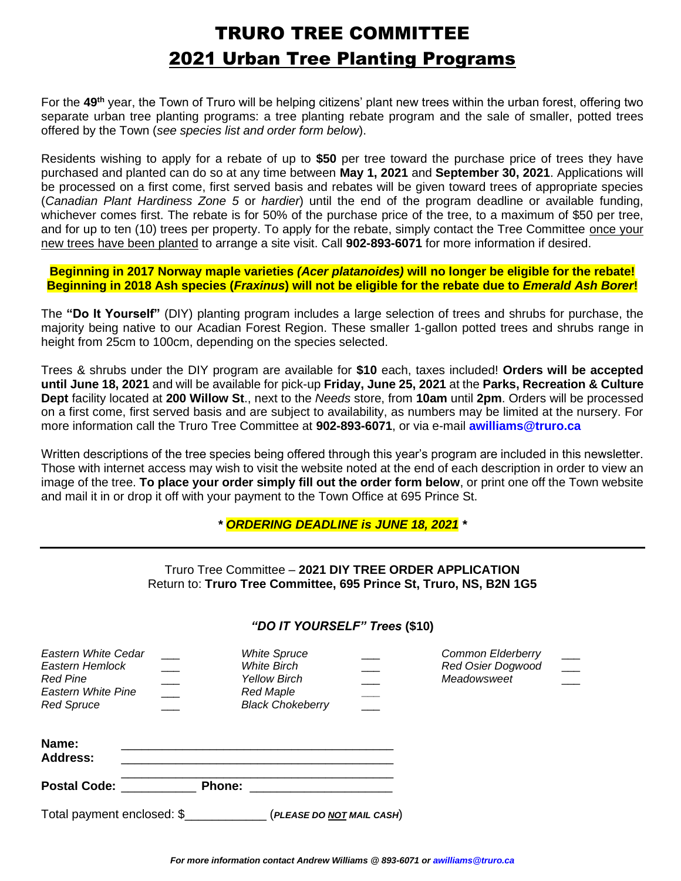## TRURO TREE COMMITTEE 2021 Urban Tree Planting Programs

For the 49<sup>th</sup> year, the Town of Truro will be helping citizens' plant new trees within the urban forest, offering two separate urban tree planting programs: a tree planting rebate program and the sale of smaller, potted trees offered by the Town (*see species list and order form below*).

Residents wishing to apply for a rebate of up to **\$50** per tree toward the purchase price of trees they have purchased and planted can do so at any time between **May 1, 2021** and **September 30, 2021**. Applications will be processed on a first come, first served basis and rebates will be given toward trees of appropriate species (*Canadian Plant Hardiness Zone 5* or *hardier*) until the end of the program deadline or available funding, whichever comes first. The rebate is for 50% of the purchase price of the tree, to a maximum of \$50 per tree, and for up to ten (10) trees per property. To apply for the rebate, simply contact the Tree Committee once your new trees have been planted to arrange a site visit. Call **902-893-6071** for more information if desired.

**Beginning in 2017 Norway maple varieties** *(Acer platanoides)* **will no longer be eligible for the rebate! Beginning in 2018 Ash species (***Fraxinus***) will not be eligible for the rebate due to** *Emerald Ash Borer***!**

The **"Do It Yourself"** (DIY) planting program includes a large selection of trees and shrubs for purchase, the majority being native to our Acadian Forest Region. These smaller 1-gallon potted trees and shrubs range in height from 25cm to 100cm, depending on the species selected.

Trees & shrubs under the DIY program are available for **\$10** each, taxes included! **Orders will be accepted until June 18, 2021** and will be available for pick-up **Friday, June 25, 2021** at the **Parks, Recreation & Culture Dept** facility located at **200 Willow St**., next to the *Needs* store, from **10am** until **2pm**. Orders will be processed on a first come, first served basis and are subject to availability, as numbers may be limited at the nursery. For more information call the Truro Tree Committee at **902-893-6071**, or via e-mail **[awilliams@truro.ca](mailto:awilliams@truro.ca)**

Written descriptions of the tree species being offered through this year's program are included in this newsletter. Those with internet access may wish to visit the website noted at the end of each description in order to view an image of the tree. **To place your order simply fill out the order form below**, or print one off the Town website and mail it in or drop it off with your payment to the Town Office at 695 Prince St.

*\* ORDERING DEADLINE is JUNE 18, 2021 \**

| Truro Tree Committee - 2021 DIY TREE ORDER APPLICATION             |  |  |
|--------------------------------------------------------------------|--|--|
| Return to: Truro Tree Committee, 695 Prince St, Truro, NS, B2N 1G5 |  |  |

| Eastern White Cedar<br>Eastern Hemlock<br>Red Pine<br>Eastern White Pine<br><b>Red Spruce</b> | $\overline{\phantom{a}}$ | <b>White Spruce</b><br><b>White Birch</b><br><b>Yellow Birch</b><br><b>Red Maple</b><br><b>Black Chokeberry</b> | <b>Common Elderberry</b><br><b>Red Osier Dogwood</b><br>Meadowsweet | $\overline{\phantom{a}}$ |
|-----------------------------------------------------------------------------------------------|--------------------------|-----------------------------------------------------------------------------------------------------------------|---------------------------------------------------------------------|--------------------------|
| Name:<br><b>Address:</b>                                                                      |                          |                                                                                                                 |                                                                     |                          |
| <b>Postal Code: _______</b>                                                                   |                          | Phone:                                                                                                          |                                                                     |                          |
| Total payment enclosed: \$                                                                    |                          | (PLEASE DO <u>NOT</u> MAIL CASH)                                                                                |                                                                     |                          |

#### *"DO IT YOURSELF" Trees* **(\$10)**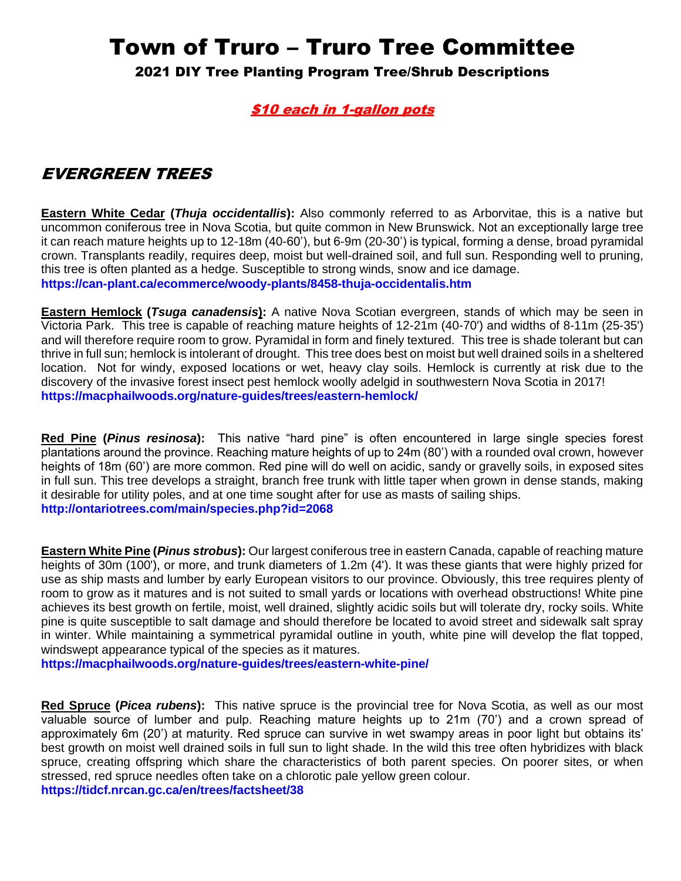# Town of Truro – Truro Tree Committee

2021 DIY Tree Planting Program Tree/Shrub Descriptions

#### \$10 each in 1-gallon pots

### EVERGREEN TREES

**Eastern White Cedar (***Thuja occidentallis***):** Also commonly referred to as Arborvitae, this is a native but uncommon coniferous tree in Nova Scotia, but quite common in New Brunswick. Not an exceptionally large tree it can reach mature heights up to 12-18m (40-60'), but 6-9m (20-30') is typical, forming a dense, broad pyramidal crown. Transplants readily, requires deep, moist but well-drained soil, and full sun. Responding well to pruning, this tree is often planted as a hedge. Susceptible to strong winds, snow and ice damage. **<https://can-plant.ca/ecommerce/woody-plants/8458-thuja-occidentalis.htm>**

**Eastern Hemlock (***Tsuga canadensis***):** A native Nova Scotian evergreen, stands of which may be seen in Victoria Park. This tree is capable of reaching mature heights of 12-21m (40-70') and widths of 8-11m (25-35') and will therefore require room to grow. Pyramidal in form and finely textured. This tree is shade tolerant but can thrive in full sun; hemlock is intolerant of drought. This tree does best on moist but well drained soils in a sheltered location. Not for windy, exposed locations or wet, heavy clay soils. Hemlock is currently at risk due to the discovery of the invasive forest insect pest hemlock woolly adelgid in southwestern Nova Scotia in 2017! **<https://macphailwoods.org/nature-guides/trees/eastern-hemlock/>**

**Red Pine (***Pinus resinosa***):** This native "hard pine" is often encountered in large single species forest plantations around the province. Reaching mature heights of up to 24m (80') with a rounded oval crown, however heights of 18m (60') are more common. Red pine will do well on acidic, sandy or gravelly soils, in exposed sites in full sun. This tree develops a straight, branch free trunk with little taper when grown in dense stands, making it desirable for utility poles, and at one time sought after for use as masts of sailing ships. **<http://ontariotrees.com/main/species.php?id=2068>**

**Eastern White Pine (***Pinus strobus***):** Our largest coniferous tree in eastern Canada, capable of reaching mature heights of 30m (100'), or more, and trunk diameters of 1.2m (4'). It was these giants that were highly prized for use as ship masts and lumber by early European visitors to our province. Obviously, this tree requires plenty of room to grow as it matures and is not suited to small yards or locations with overhead obstructions! White pine achieves its best growth on fertile, moist, well drained, slightly acidic soils but will tolerate dry, rocky soils. White pine is quite susceptible to salt damage and should therefore be located to avoid street and sidewalk salt spray in winter. While maintaining a symmetrical pyramidal outline in youth, white pine will develop the flat topped, windswept appearance typical of the species as it matures.

**<https://macphailwoods.org/nature-guides/trees/eastern-white-pine/>**

**Red Spruce (***Picea rubens***):** This native spruce is the provincial tree for Nova Scotia, as well as our most valuable source of lumber and pulp. Reaching mature heights up to 21m (70') and a crown spread of approximately 6m (20') at maturity. Red spruce can survive in wet swampy areas in poor light but obtains its' best growth on moist well drained soils in full sun to light shade. In the wild this tree often hybridizes with black spruce, creating offspring which share the characteristics of both parent species. On poorer sites, or when stressed, red spruce needles often take on a chlorotic pale yellow green colour. **<https://tidcf.nrcan.gc.ca/en/trees/factsheet/38>**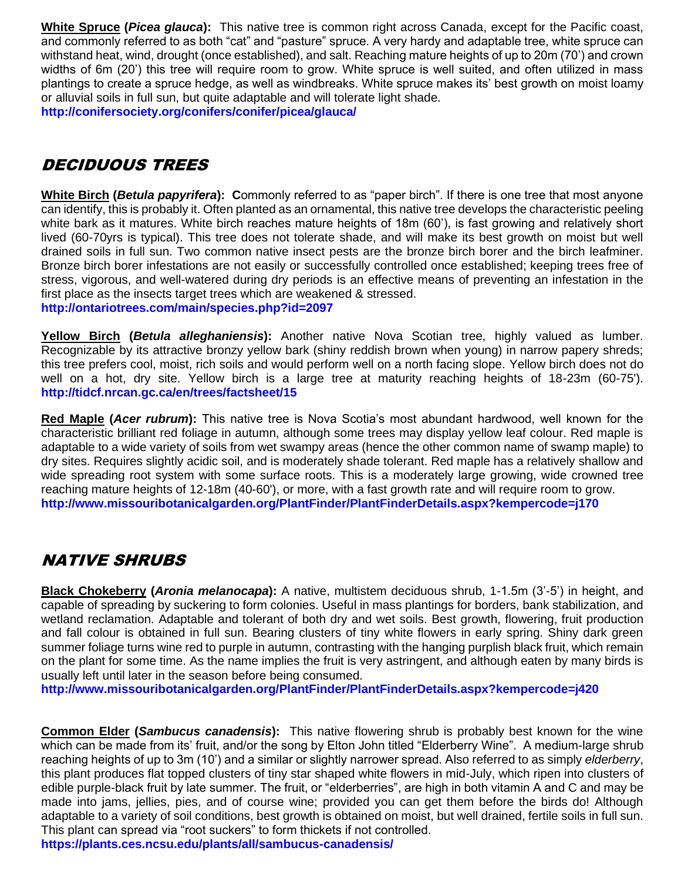**White Spruce (***Picea glauca***):** This native tree is common right across Canada, except for the Pacific coast, and commonly referred to as both "cat" and "pasture" spruce. A very hardy and adaptable tree, white spruce can withstand heat, wind, drought (once established), and salt. Reaching mature heights of up to 20m (70') and crown widths of 6m (20') this tree will require room to grow. White spruce is well suited, and often utilized in mass plantings to create a spruce hedge, as well as windbreaks. White spruce makes its' best growth on moist loamy or alluvial soils in full sun, but quite adaptable and will tolerate light shade. **<http://conifersociety.org/conifers/conifer/picea/glauca/>**

### DECIDUOUS TREES

**White Birch (***Betula papyrifera***): C**ommonly referred to as "paper birch". If there is one tree that most anyone can identify, this is probably it. Often planted as an ornamental, this native tree develops the characteristic peeling white bark as it matures. White birch reaches mature heights of 18m (60'), is fast growing and relatively short lived (60-70yrs is typical). This tree does not tolerate shade, and will make its best growth on moist but well drained soils in full sun. Two common native insect pests are the bronze birch borer and the birch leafminer. Bronze birch borer infestations are not easily or successfully controlled once established; keeping trees free of stress, vigorous, and well-watered during dry periods is an effective means of preventing an infestation in the first place as the insects target trees which are weakened & stressed. **<http://ontariotrees.com/main/species.php?id=2097>**

**Yellow Birch (***Betula alleghaniensis***):** Another native Nova Scotian tree, highly valued as lumber. Recognizable by its attractive bronzy yellow bark (shiny reddish brown when young) in narrow papery shreds; this tree prefers cool, moist, rich soils and would perform well on a north facing slope. Yellow birch does not do well on a hot, dry site. Yellow birch is a large tree at maturity reaching heights of 18-23m (60-75'). **<http://tidcf.nrcan.gc.ca/en/trees/factsheet/15>**

**Red Maple (***Acer rubrum***):** This native tree is Nova Scotia's most abundant hardwood, well known for the characteristic brilliant red foliage in autumn, although some trees may display yellow leaf colour. Red maple is adaptable to a wide variety of soils from wet swampy areas (hence the other common name of swamp maple) to dry sites. Requires slightly acidic soil, and is moderately shade tolerant. Red maple has a relatively shallow and wide spreading root system with some surface roots. This is a moderately large growing, wide crowned tree reaching mature heights of 12-18m (40-60'), or more, with a fast growth rate and will require room to grow. **<http://www.missouribotanicalgarden.org/PlantFinder/PlantFinderDetails.aspx?kempercode=j170>**

## NATIVE SHRUBS

**Black Chokeberry (***Aronia melanocapa***):** A native, multistem deciduous shrub, 1-1.5m (3'-5') in height, and capable of spreading by suckering to form colonies. Useful in mass plantings for borders, bank stabilization, and wetland reclamation. Adaptable and tolerant of both dry and wet soils. Best growth, flowering, fruit production and fall colour is obtained in full sun. Bearing clusters of tiny white flowers in early spring. Shiny dark green summer foliage turns wine red to purple in autumn, contrasting with the hanging purplish black fruit, which remain on the plant for some time. As the name implies the fruit is very astringent, and although eaten by many birds is usually left until later in the season before being consumed.

**<http://www.missouribotanicalgarden.org/PlantFinder/PlantFinderDetails.aspx?kempercode=j420>**

**Common Elder (***Sambucus canadensis***):** This native flowering shrub is probably best known for the wine which can be made from its' fruit, and/or the song by Elton John titled "Elderberry Wine". A medium-large shrub reaching heights of up to 3m (10') and a similar or slightly narrower spread. Also referred to as simply *elderberry*, this plant produces flat topped clusters of tiny star shaped white flowers in mid-July, which ripen into clusters of edible purple-black fruit by late summer. The fruit, or "elderberries", are high in both vitamin A and C and may be made into jams, jellies, pies, and of course wine; provided you can get them before the birds do! Although adaptable to a variety of soil conditions, best growth is obtained on moist, but well drained, fertile soils in full sun. This plant can spread via "root suckers" to form thickets if not controlled.

**<https://plants.ces.ncsu.edu/plants/all/sambucus-canadensis/>**